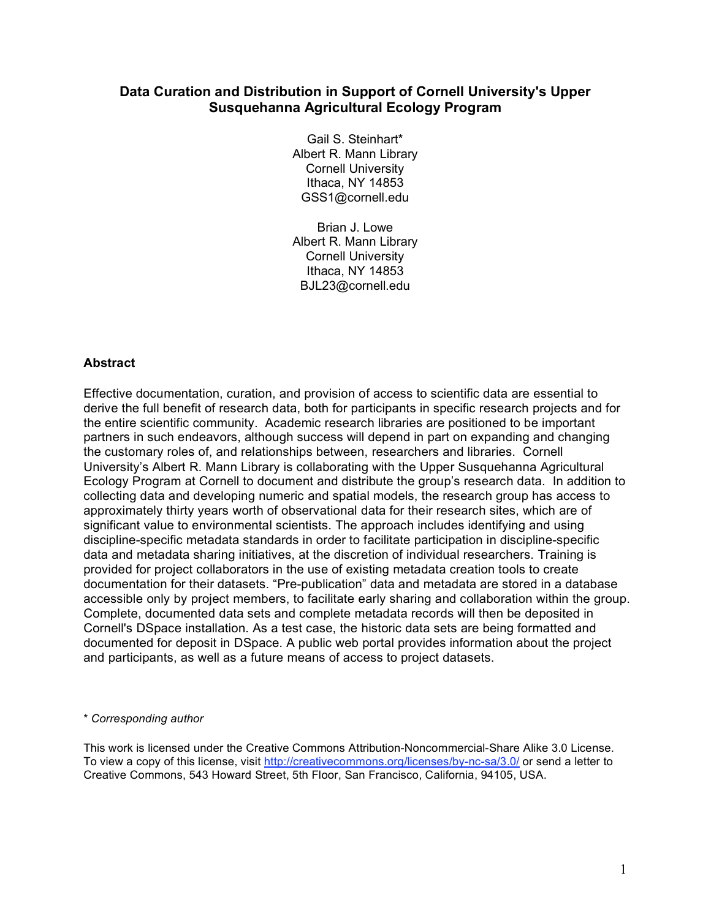# **Data Curation and Distribution in Support of Cornell University's Upper Susquehanna Agricultural Ecology Program**

Gail S. Steinhart\* Albert R. Mann Library Cornell University Ithaca, NY 14853 GSS1@cornell.edu

Brian J. Lowe Albert R. Mann Library Cornell University Ithaca, NY 14853 BJL23@cornell.edu

## **Abstract**

Effective documentation, curation, and provision of access to scientific data are essential to derive the full benefit of research data, both for participants in specific research projects and for the entire scientific community. Academic research libraries are positioned to be important partners in such endeavors, although success will depend in part on expanding and changing the customary roles of, and relationships between, researchers and libraries. Cornell University's Albert R. Mann Library is collaborating with the Upper Susquehanna Agricultural Ecology Program at Cornell to document and distribute the group's research data. In addition to collecting data and developing numeric and spatial models, the research group has access to approximately thirty years worth of observational data for their research sites, which are of significant value to environmental scientists. The approach includes identifying and using discipline-specific metadata standards in order to facilitate participation in discipline-specific data and metadata sharing initiatives, at the discretion of individual researchers. Training is provided for project collaborators in the use of existing metadata creation tools to create documentation for their datasets. "Pre-publication" data and metadata are stored in a database accessible only by project members, to facilitate early sharing and collaboration within the group. Complete, documented data sets and complete metadata records will then be deposited in Cornell's DSpace installation. As a test case, the historic data sets are being formatted and documented for deposit in DSpace. A public web portal provides information about the project and participants, as well as a future means of access to project datasets.

#### \* *Corresponding author*

This work is licensed under the Creative Commons Attribution-Noncommercial-Share Alike 3.0 License. To view a copy of this license, visit http://creativecommons.org/licenses/by-nc-sa/3.0/ or send a letter to Creative Commons, 543 Howard Street, 5th Floor, San Francisco, California, 94105, USA.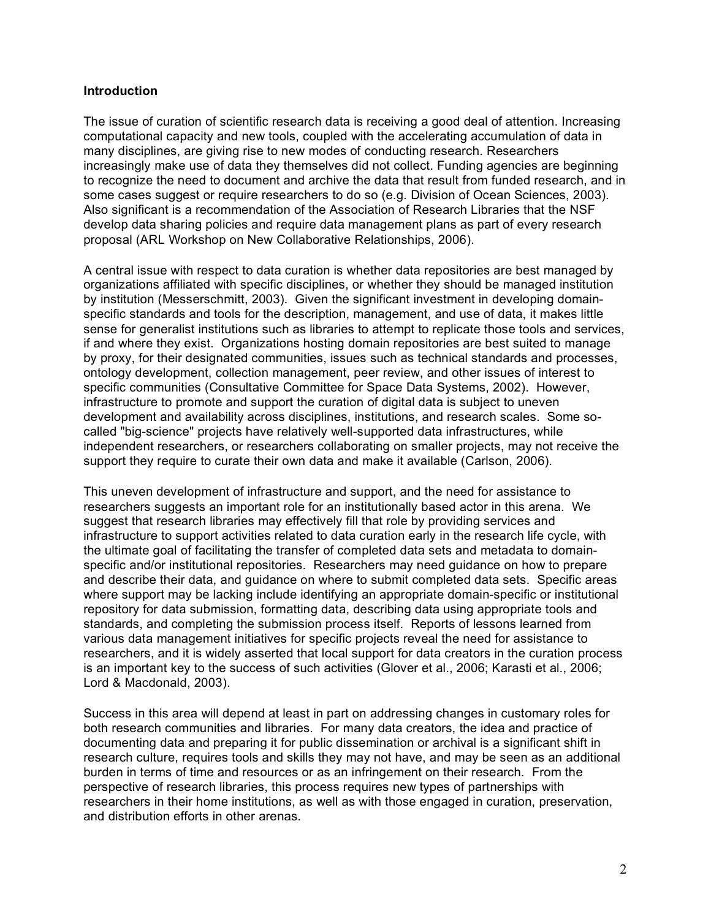## **Introduction**

The issue of curation of scientific research data is receiving a good deal of attention. Increasing computational capacity and new tools, coupled with the accelerating accumulation of data in many disciplines, are giving rise to new modes of conducting research. Researchers increasingly make use of data they themselves did not collect. Funding agencies are beginning to recognize the need to document and archive the data that result from funded research, and in some cases suggest or require researchers to do so (e.g. Division of Ocean Sciences, 2003). Also significant is a recommendation of the Association of Research Libraries that the NSF develop data sharing policies and require data management plans as part of every research proposal (ARL Workshop on New Collaborative Relationships, 2006).

A central issue with respect to data curation is whether data repositories are best managed by organizations affiliated with specific disciplines, or whether they should be managed institution by institution (Messerschmitt, 2003). Given the significant investment in developing domainspecific standards and tools for the description, management, and use of data, it makes little sense for generalist institutions such as libraries to attempt to replicate those tools and services, if and where they exist. Organizations hosting domain repositories are best suited to manage by proxy, for their designated communities, issues such as technical standards and processes, ontology development, collection management, peer review, and other issues of interest to specific communities (Consultative Committee for Space Data Systems, 2002). However, infrastructure to promote and support the curation of digital data is subject to uneven development and availability across disciplines, institutions, and research scales. Some socalled "big-science" projects have relatively well-supported data infrastructures, while independent researchers, or researchers collaborating on smaller projects, may not receive the support they require to curate their own data and make it available (Carlson, 2006).

This uneven development of infrastructure and support, and the need for assistance to researchers suggests an important role for an institutionally based actor in this arena. We suggest that research libraries may effectively fill that role by providing services and infrastructure to support activities related to data curation early in the research life cycle, with the ultimate goal of facilitating the transfer of completed data sets and metadata to domainspecific and/or institutional repositories. Researchers may need guidance on how to prepare and describe their data, and guidance on where to submit completed data sets. Specific areas where support may be lacking include identifying an appropriate domain-specific or institutional repository for data submission, formatting data, describing data using appropriate tools and standards, and completing the submission process itself. Reports of lessons learned from various data management initiatives for specific projects reveal the need for assistance to researchers, and it is widely asserted that local support for data creators in the curation process is an important key to the success of such activities (Glover et al., 2006; Karasti et al., 2006; Lord & Macdonald, 2003).

Success in this area will depend at least in part on addressing changes in customary roles for both research communities and libraries. For many data creators, the idea and practice of documenting data and preparing it for public dissemination or archival is a significant shift in research culture, requires tools and skills they may not have, and may be seen as an additional burden in terms of time and resources or as an infringement on their research. From the perspective of research libraries, this process requires new types of partnerships with researchers in their home institutions, as well as with those engaged in curation, preservation, and distribution efforts in other arenas.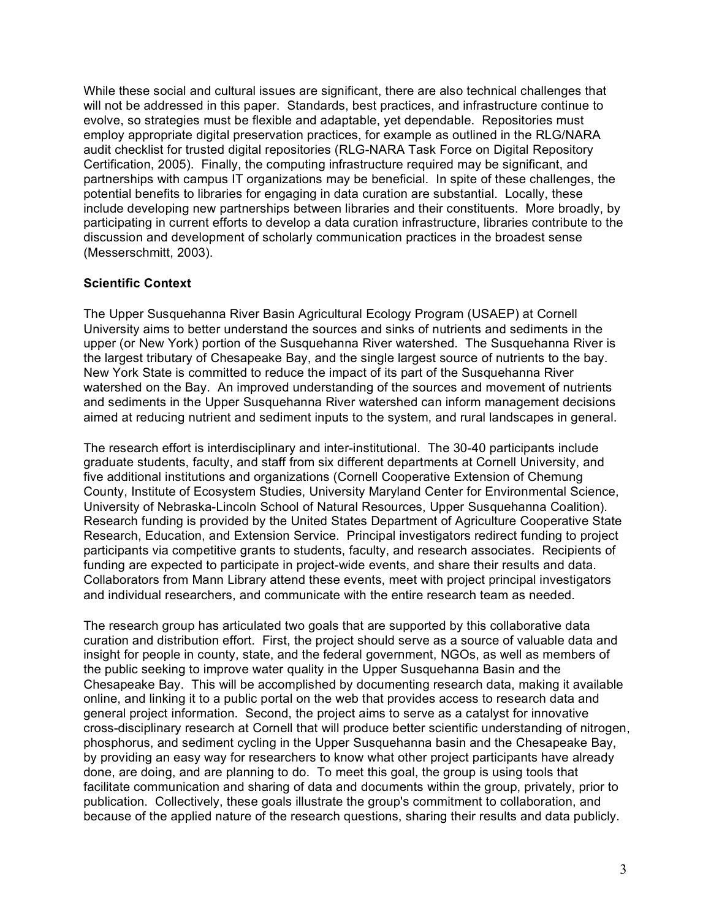While these social and cultural issues are significant, there are also technical challenges that will not be addressed in this paper. Standards, best practices, and infrastructure continue to evolve, so strategies must be flexible and adaptable, yet dependable. Repositories must employ appropriate digital preservation practices, for example as outlined in the RLG/NARA audit checklist for trusted digital repositories (RLG-NARA Task Force on Digital Repository Certification, 2005). Finally, the computing infrastructure required may be significant, and partnerships with campus IT organizations may be beneficial. In spite of these challenges, the potential benefits to libraries for engaging in data curation are substantial. Locally, these include developing new partnerships between libraries and their constituents. More broadly, by participating in current efforts to develop a data curation infrastructure, libraries contribute to the discussion and development of scholarly communication practices in the broadest sense (Messerschmitt, 2003).

## **Scientific Context**

The Upper Susquehanna River Basin Agricultural Ecology Program (USAEP) at Cornell University aims to better understand the sources and sinks of nutrients and sediments in the upper (or New York) portion of the Susquehanna River watershed. The Susquehanna River is the largest tributary of Chesapeake Bay, and the single largest source of nutrients to the bay. New York State is committed to reduce the impact of its part of the Susquehanna River watershed on the Bay. An improved understanding of the sources and movement of nutrients and sediments in the Upper Susquehanna River watershed can inform management decisions aimed at reducing nutrient and sediment inputs to the system, and rural landscapes in general.

The research effort is interdisciplinary and inter-institutional. The 30-40 participants include graduate students, faculty, and staff from six different departments at Cornell University, and five additional institutions and organizations (Cornell Cooperative Extension of Chemung County, Institute of Ecosystem Studies, University Maryland Center for Environmental Science, University of Nebraska-Lincoln School of Natural Resources, Upper Susquehanna Coalition). Research funding is provided by the United States Department of Agriculture Cooperative State Research, Education, and Extension Service. Principal investigators redirect funding to project participants via competitive grants to students, faculty, and research associates. Recipients of funding are expected to participate in project-wide events, and share their results and data. Collaborators from Mann Library attend these events, meet with project principal investigators and individual researchers, and communicate with the entire research team as needed.

The research group has articulated two goals that are supported by this collaborative data curation and distribution effort. First, the project should serve as a source of valuable data and insight for people in county, state, and the federal government, NGOs, as well as members of the public seeking to improve water quality in the Upper Susquehanna Basin and the Chesapeake Bay. This will be accomplished by documenting research data, making it available online, and linking it to a public portal on the web that provides access to research data and general project information. Second, the project aims to serve as a catalyst for innovative cross-disciplinary research at Cornell that will produce better scientific understanding of nitrogen, phosphorus, and sediment cycling in the Upper Susquehanna basin and the Chesapeake Bay, by providing an easy way for researchers to know what other project participants have already done, are doing, and are planning to do. To meet this goal, the group is using tools that facilitate communication and sharing of data and documents within the group, privately, prior to publication. Collectively, these goals illustrate the group's commitment to collaboration, and because of the applied nature of the research questions, sharing their results and data publicly.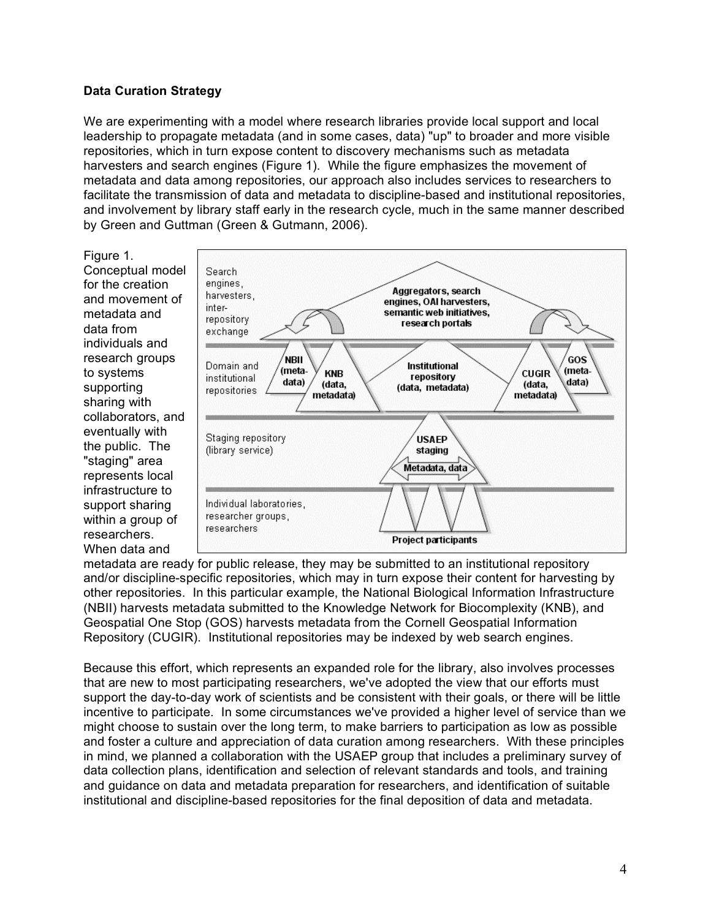## **Data Curation Strategy**

We are experimenting with a model where research libraries provide local support and local leadership to propagate metadata (and in some cases, data) "up" to broader and more visible repositories, which in turn expose content to discovery mechanisms such as metadata harvesters and search engines (Figure 1). While the figure emphasizes the movement of metadata and data among repositories, our approach also includes services to researchers to facilitate the transmission of data and metadata to discipline-based and institutional repositories, and involvement by library staff early in the research cycle, much in the same manner described by Green and Guttman (Green & Gutmann, 2006).

Figure 1. Conceptual model for the creation and movement of metadata and data from individuals and research groups to systems supporting sharing with collaborators, and eventually with the public. The "staging" area represents local infrastructure to support sharing within a group of researchers. When data and



metadata are ready for public release, they may be submitted to an institutional repository and/or discipline-specific repositories, which may in turn expose their content for harvesting by other repositories. In this particular example, the National Biological Information Infrastructure (NBII) harvests metadata submitted to the Knowledge Network for Biocomplexity (KNB), and Geospatial One Stop (GOS) harvests metadata from the Cornell Geospatial Information Repository (CUGIR). Institutional repositories may be indexed by web search engines.

Because this effort, which represents an expanded role for the library, also involves processes that are new to most participating researchers, we've adopted the view that our efforts must support the day-to-day work of scientists and be consistent with their goals, or there will be little incentive to participate. In some circumstances we've provided a higher level of service than we might choose to sustain over the long term, to make barriers to participation as low as possible and foster a culture and appreciation of data curation among researchers. With these principles in mind, we planned a collaboration with the USAEP group that includes a preliminary survey of data collection plans, identification and selection of relevant standards and tools, and training and guidance on data and metadata preparation for researchers, and identification of suitable institutional and discipline-based repositories for the final deposition of data and metadata.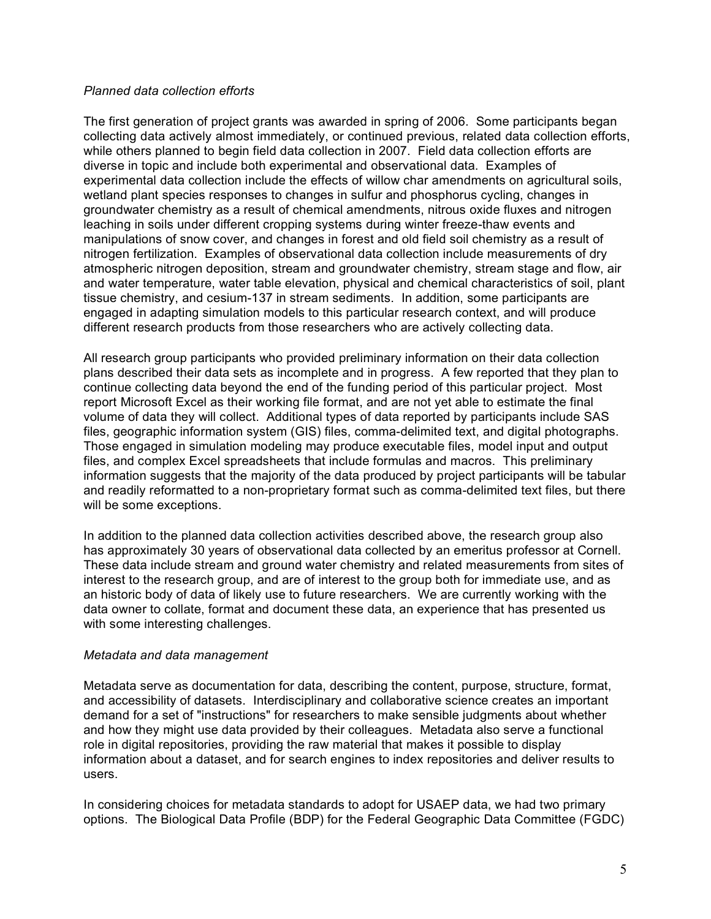## *Planned data collection efforts*

The first generation of project grants was awarded in spring of 2006. Some participants began collecting data actively almost immediately, or continued previous, related data collection efforts, while others planned to begin field data collection in 2007. Field data collection efforts are diverse in topic and include both experimental and observational data. Examples of experimental data collection include the effects of willow char amendments on agricultural soils, wetland plant species responses to changes in sulfur and phosphorus cycling, changes in groundwater chemistry as a result of chemical amendments, nitrous oxide fluxes and nitrogen leaching in soils under different cropping systems during winter freeze-thaw events and manipulations of snow cover, and changes in forest and old field soil chemistry as a result of nitrogen fertilization. Examples of observational data collection include measurements of dry atmospheric nitrogen deposition, stream and groundwater chemistry, stream stage and flow, air and water temperature, water table elevation, physical and chemical characteristics of soil, plant tissue chemistry, and cesium-137 in stream sediments. In addition, some participants are engaged in adapting simulation models to this particular research context, and will produce different research products from those researchers who are actively collecting data.

All research group participants who provided preliminary information on their data collection plans described their data sets as incomplete and in progress. A few reported that they plan to continue collecting data beyond the end of the funding period of this particular project. Most report Microsoft Excel as their working file format, and are not yet able to estimate the final volume of data they will collect. Additional types of data reported by participants include SAS files, geographic information system (GIS) files, comma-delimited text, and digital photographs. Those engaged in simulation modeling may produce executable files, model input and output files, and complex Excel spreadsheets that include formulas and macros. This preliminary information suggests that the majority of the data produced by project participants will be tabular and readily reformatted to a non-proprietary format such as comma-delimited text files, but there will be some exceptions.

In addition to the planned data collection activities described above, the research group also has approximately 30 years of observational data collected by an emeritus professor at Cornell. These data include stream and ground water chemistry and related measurements from sites of interest to the research group, and are of interest to the group both for immediate use, and as an historic body of data of likely use to future researchers. We are currently working with the data owner to collate, format and document these data, an experience that has presented us with some interesting challenges.

#### *Metadata and data management*

Metadata serve as documentation for data, describing the content, purpose, structure, format, and accessibility of datasets. Interdisciplinary and collaborative science creates an important demand for a set of "instructions" for researchers to make sensible judgments about whether and how they might use data provided by their colleagues. Metadata also serve a functional role in digital repositories, providing the raw material that makes it possible to display information about a dataset, and for search engines to index repositories and deliver results to users.

In considering choices for metadata standards to adopt for USAEP data, we had two primary options. The Biological Data Profile (BDP) for the Federal Geographic Data Committee (FGDC)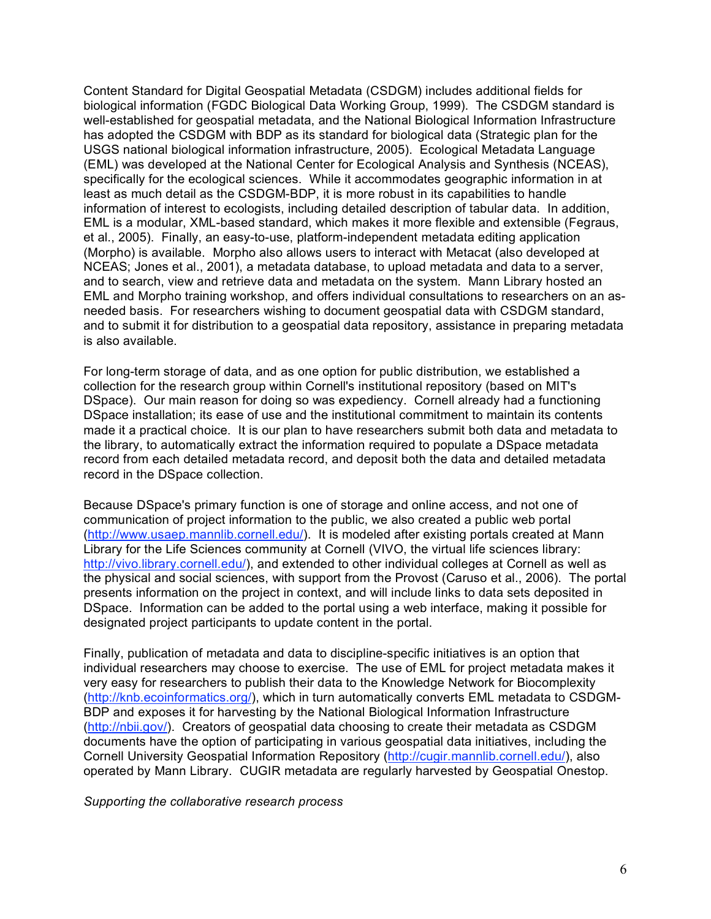Content Standard for Digital Geospatial Metadata (CSDGM) includes additional fields for biological information (FGDC Biological Data Working Group, 1999). The CSDGM standard is well-established for geospatial metadata, and the National Biological Information Infrastructure has adopted the CSDGM with BDP as its standard for biological data (Strategic plan for the USGS national biological information infrastructure, 2005). Ecological Metadata Language (EML) was developed at the National Center for Ecological Analysis and Synthesis (NCEAS), specifically for the ecological sciences. While it accommodates geographic information in at least as much detail as the CSDGM-BDP, it is more robust in its capabilities to handle information of interest to ecologists, including detailed description of tabular data. In addition, EML is a modular, XML-based standard, which makes it more flexible and extensible (Fegraus, et al., 2005). Finally, an easy-to-use, platform-independent metadata editing application (Morpho) is available. Morpho also allows users to interact with Metacat (also developed at NCEAS; Jones et al., 2001), a metadata database, to upload metadata and data to a server, and to search, view and retrieve data and metadata on the system. Mann Library hosted an EML and Morpho training workshop, and offers individual consultations to researchers on an asneeded basis. For researchers wishing to document geospatial data with CSDGM standard, and to submit it for distribution to a geospatial data repository, assistance in preparing metadata is also available.

For long-term storage of data, and as one option for public distribution, we established a collection for the research group within Cornell's institutional repository (based on MIT's DSpace). Our main reason for doing so was expediency. Cornell already had a functioning DSpace installation; its ease of use and the institutional commitment to maintain its contents made it a practical choice. It is our plan to have researchers submit both data and metadata to the library, to automatically extract the information required to populate a DSpace metadata record from each detailed metadata record, and deposit both the data and detailed metadata record in the DSpace collection.

Because DSpace's primary function is one of storage and online access, and not one of communication of project information to the public, we also created a public web portal (http://www.usaep.mannlib.cornell.edu/). It is modeled after existing portals created at Mann Library for the Life Sciences community at Cornell (VIVO, the virtual life sciences library: http://vivo.library.cornell.edu/), and extended to other individual colleges at Cornell as well as the physical and social sciences, with support from the Provost (Caruso et al., 2006). The portal presents information on the project in context, and will include links to data sets deposited in DSpace. Information can be added to the portal using a web interface, making it possible for designated project participants to update content in the portal.

Finally, publication of metadata and data to discipline-specific initiatives is an option that individual researchers may choose to exercise. The use of EML for project metadata makes it very easy for researchers to publish their data to the Knowledge Network for Biocomplexity (http://knb.ecoinformatics.org/), which in turn automatically converts EML metadata to CSDGM-BDP and exposes it for harvesting by the National Biological Information Infrastructure (http://nbii.gov/). Creators of geospatial data choosing to create their metadata as CSDGM documents have the option of participating in various geospatial data initiatives, including the Cornell University Geospatial Information Repository (http://cugir.mannlib.cornell.edu/), also operated by Mann Library. CUGIR metadata are regularly harvested by Geospatial Onestop.

*Supporting the collaborative research process*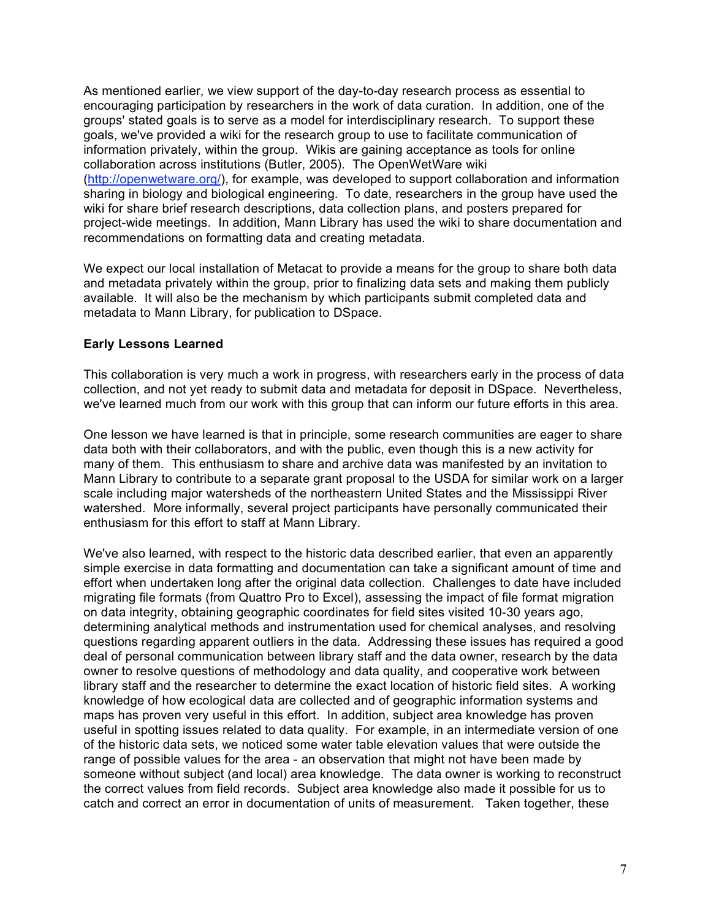As mentioned earlier, we view support of the day-to-day research process as essential to encouraging participation by researchers in the work of data curation. In addition, one of the groups' stated goals is to serve as a model for interdisciplinary research. To support these goals, we've provided a wiki for the research group to use to facilitate communication of information privately, within the group. Wikis are gaining acceptance as tools for online collaboration across institutions (Butler, 2005). The OpenWetWare wiki (http://openwetware.org/), for example, was developed to support collaboration and information sharing in biology and biological engineering. To date, researchers in the group have used the wiki for share brief research descriptions, data collection plans, and posters prepared for project-wide meetings. In addition, Mann Library has used the wiki to share documentation and recommendations on formatting data and creating metadata.

We expect our local installation of Metacat to provide a means for the group to share both data and metadata privately within the group, prior to finalizing data sets and making them publicly available. It will also be the mechanism by which participants submit completed data and metadata to Mann Library, for publication to DSpace.

## **Early Lessons Learned**

This collaboration is very much a work in progress, with researchers early in the process of data collection, and not yet ready to submit data and metadata for deposit in DSpace. Nevertheless, we've learned much from our work with this group that can inform our future efforts in this area.

One lesson we have learned is that in principle, some research communities are eager to share data both with their collaborators, and with the public, even though this is a new activity for many of them. This enthusiasm to share and archive data was manifested by an invitation to Mann Library to contribute to a separate grant proposal to the USDA for similar work on a larger scale including major watersheds of the northeastern United States and the Mississippi River watershed. More informally, several project participants have personally communicated their enthusiasm for this effort to staff at Mann Library.

We've also learned, with respect to the historic data described earlier, that even an apparently simple exercise in data formatting and documentation can take a significant amount of time and effort when undertaken long after the original data collection. Challenges to date have included migrating file formats (from Quattro Pro to Excel), assessing the impact of file format migration on data integrity, obtaining geographic coordinates for field sites visited 10-30 years ago, determining analytical methods and instrumentation used for chemical analyses, and resolving questions regarding apparent outliers in the data. Addressing these issues has required a good deal of personal communication between library staff and the data owner, research by the data owner to resolve questions of methodology and data quality, and cooperative work between library staff and the researcher to determine the exact location of historic field sites. A working knowledge of how ecological data are collected and of geographic information systems and maps has proven very useful in this effort. In addition, subject area knowledge has proven useful in spotting issues related to data quality. For example, in an intermediate version of one of the historic data sets, we noticed some water table elevation values that were outside the range of possible values for the area - an observation that might not have been made by someone without subject (and local) area knowledge. The data owner is working to reconstruct the correct values from field records. Subject area knowledge also made it possible for us to catch and correct an error in documentation of units of measurement. Taken together, these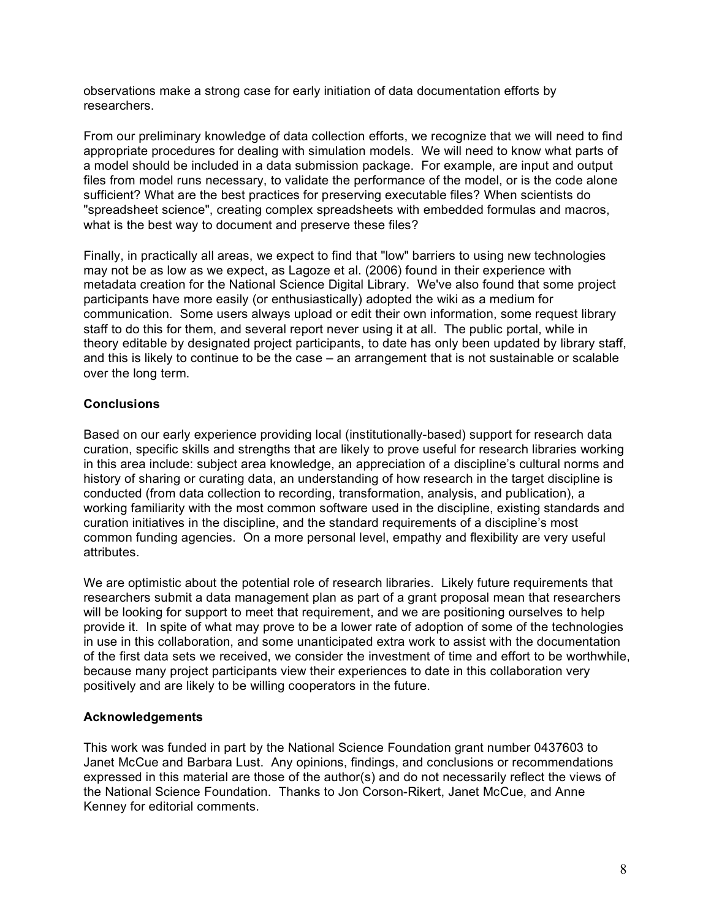observations make a strong case for early initiation of data documentation efforts by researchers.

From our preliminary knowledge of data collection efforts, we recognize that we will need to find appropriate procedures for dealing with simulation models. We will need to know what parts of a model should be included in a data submission package. For example, are input and output files from model runs necessary, to validate the performance of the model, or is the code alone sufficient? What are the best practices for preserving executable files? When scientists do "spreadsheet science", creating complex spreadsheets with embedded formulas and macros, what is the best way to document and preserve these files?

Finally, in practically all areas, we expect to find that "low" barriers to using new technologies may not be as low as we expect, as Lagoze et al. (2006) found in their experience with metadata creation for the National Science Digital Library. We've also found that some project participants have more easily (or enthusiastically) adopted the wiki as a medium for communication. Some users always upload or edit their own information, some request library staff to do this for them, and several report never using it at all. The public portal, while in theory editable by designated project participants, to date has only been updated by library staff, and this is likely to continue to be the case – an arrangement that is not sustainable or scalable over the long term.

# **Conclusions**

Based on our early experience providing local (institutionally-based) support for research data curation, specific skills and strengths that are likely to prove useful for research libraries working in this area include: subject area knowledge, an appreciation of a discipline's cultural norms and history of sharing or curating data, an understanding of how research in the target discipline is conducted (from data collection to recording, transformation, analysis, and publication), a working familiarity with the most common software used in the discipline, existing standards and curation initiatives in the discipline, and the standard requirements of a discipline's most common funding agencies. On a more personal level, empathy and flexibility are very useful attributes.

We are optimistic about the potential role of research libraries. Likely future requirements that researchers submit a data management plan as part of a grant proposal mean that researchers will be looking for support to meet that requirement, and we are positioning ourselves to help provide it. In spite of what may prove to be a lower rate of adoption of some of the technologies in use in this collaboration, and some unanticipated extra work to assist with the documentation of the first data sets we received, we consider the investment of time and effort to be worthwhile, because many project participants view their experiences to date in this collaboration very positively and are likely to be willing cooperators in the future.

## **Acknowledgements**

This work was funded in part by the National Science Foundation grant number 0437603 to Janet McCue and Barbara Lust. Any opinions, findings, and conclusions or recommendations expressed in this material are those of the author(s) and do not necessarily reflect the views of the National Science Foundation. Thanks to Jon Corson-Rikert, Janet McCue, and Anne Kenney for editorial comments.